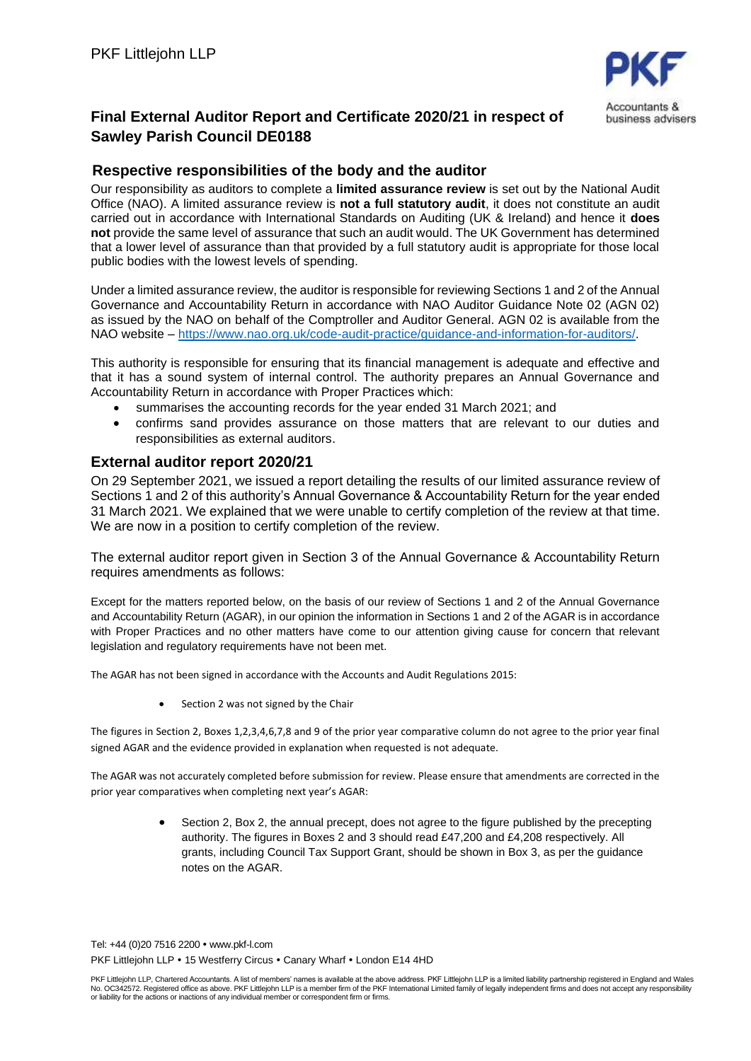

## **Final External Auditor Report and Certificate 2020/21 in respect of Sawley Parish Council DE0188**

## **Respective responsibilities of the body and the auditor**

Our responsibility as auditors to complete a **limited assurance review** is set out by the National Audit Office (NAO). A limited assurance review is **not a full statutory audit**, it does not constitute an audit carried out in accordance with International Standards on Auditing (UK & Ireland) and hence it **does not** provide the same level of assurance that such an audit would. The UK Government has determined that a lower level of assurance than that provided by a full statutory audit is appropriate for those local public bodies with the lowest levels of spending.

Under a limited assurance review, the auditor is responsible for reviewing Sections 1 and 2 of the Annual Governance and Accountability Return in accordance with NAO Auditor Guidance Note 02 (AGN 02) as issued by the NAO on behalf of the Comptroller and Auditor General. AGN 02 is available from the NAO website – [https://www.nao.org.uk/code-audit-practice/guidance-and-information-for-auditors/.](https://www.nao.org.uk/code-audit-practice/guidance-and-information-for-auditors/)

This authority is responsible for ensuring that its financial management is adequate and effective and that it has a sound system of internal control. The authority prepares an Annual Governance and Accountability Return in accordance with Proper Practices which:

- summarises the accounting records for the year ended 31 March 2021; and
- confirms sand provides assurance on those matters that are relevant to our duties and responsibilities as external auditors.

## **External auditor report 2020/21**

On 29 September 2021, we issued a report detailing the results of our limited assurance review of Sections 1 and 2 of this authority's Annual Governance & Accountability Return for the year ended 31 March 2021. We explained that we were unable to certify completion of the review at that time. We are now in a position to certify completion of the review.

The external auditor report given in Section 3 of the Annual Governance & Accountability Return requires amendments as follows:

Except for the matters reported below, on the basis of our review of Sections 1 and 2 of the Annual Governance and Accountability Return (AGAR), in our opinion the information in Sections 1 and 2 of the AGAR is in accordance with Proper Practices and no other matters have come to our attention giving cause for concern that relevant legislation and regulatory requirements have not been met.

The AGAR has not been signed in accordance with the Accounts and Audit Regulations 2015:

Section 2 was not signed by the Chair

The figures in Section 2, Boxes 1,2,3,4,6,7,8 and 9 of the prior year comparative column do not agree to the prior year final signed AGAR and the evidence provided in explanation when requested is not adequate.

The AGAR was not accurately completed before submission for review. Please ensure that amendments are corrected in the prior year comparatives when completing next year's AGAR:

> • Section 2, Box 2, the annual precept, does not agree to the figure published by the precepting authority. The figures in Boxes 2 and 3 should read £47,200 and £4,208 respectively. All grants, including Council Tax Support Grant, should be shown in Box 3, as per the guidance notes on the AGAR.

Tel: +44 (0)20 7516 2200 www.pkf-l.com PKF Littlejohn LLP . 15 Westferry Circus . Canary Wharf . London E14 4HD

PKF Littlejohn LLP, Chartered Accountants. A list of members' names is available at the above address. PKF Littlejohn LLP is a limited liability partnership registered in England and Wales No. OC342572. Registered office as above. PKF Littlejohn LLP is a member firm of the PKF International Limited family of legally independent firms and does not accept any responsibility or liability for the actions or inactions of any individual member or correspondent firm or firms.